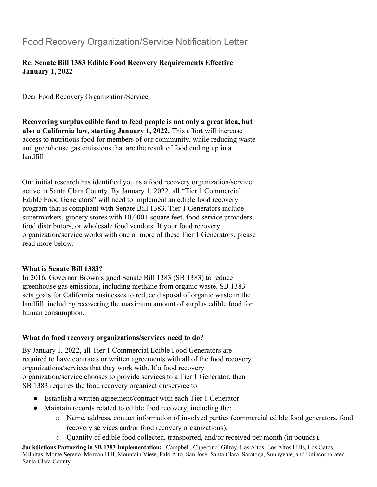## Food Recovery Organization/Service Notification Letter

## **Re: Senate Bill 1383 Edible Food Recovery Requirements Effective January 1, 2022**

Dear Food Recovery Organization/Service,

**Recovering surplus edible food to feed people is not only a great idea, but also a California law, starting January 1, 2022.** This effort will increase access to nutritious food for members of our community, while reducing waste and greenhouse gas emissions that are the result of food ending up in a landfill!

Our initial research has identified you as a food recovery organization/service active in Santa Clara County. By January 1, 2022, all "Tier 1 Commercial Edible Food Generators" will need to implement an edible food recovery program that is compliant with Senate Bill 1383. Tier 1 Generators include supermarkets, grocery stores with 10,000+ square feet, food service providers, food distributors, or wholesale food vendors. If your food recovery organization/service works with one or more of these Tier 1 Generators, please read more below.

## **What is Senate Bill 1383?**

In 2016, Governor Brown signed [Senate Bill 1383](https://www.calrecycle.ca.gov/organics/slcp) (SB 1383) to reduce greenhouse gas emissions, including methane from organic waste. SB 1383 sets goals for California businesses to reduce disposal of organic waste in the landfill, including recovering the maximum amount of surplus edible food for human consumption.

## **What do food recovery organizations/services need to do?**

By January 1, 2022, all Tier 1 Commercial Edible Food Generators are required to have contracts or written agreements with all of the food recovery organizations/services that they work with. If a food recovery organization/service chooses to provide services to a Tier 1 Generator, then SB 1383 requires the food recovery organization/service to:

- Establish a written agreement/contract with each Tier 1 Generator
- Maintain records related to edible food recovery, including the:
	- o Name, address, contact information of involved parties (commercial edible food generators, food recovery services and/or food recovery organizations),
	- o Quantity of edible food collected, transported, and/or received per month (in pounds),

**Jurisdictions Partnering in SB 1383 Implementation:** Campbell, Cupertino, Gilroy, Los Altos, Los Altos Hills, Los Gatos, Milpitas, Monte Sereno, Morgan Hill, Mountain View, Palo Alto, San Jose, Santa Clara, Saratoga, Sunnyvale, and Unincorporated Santa Clara County.